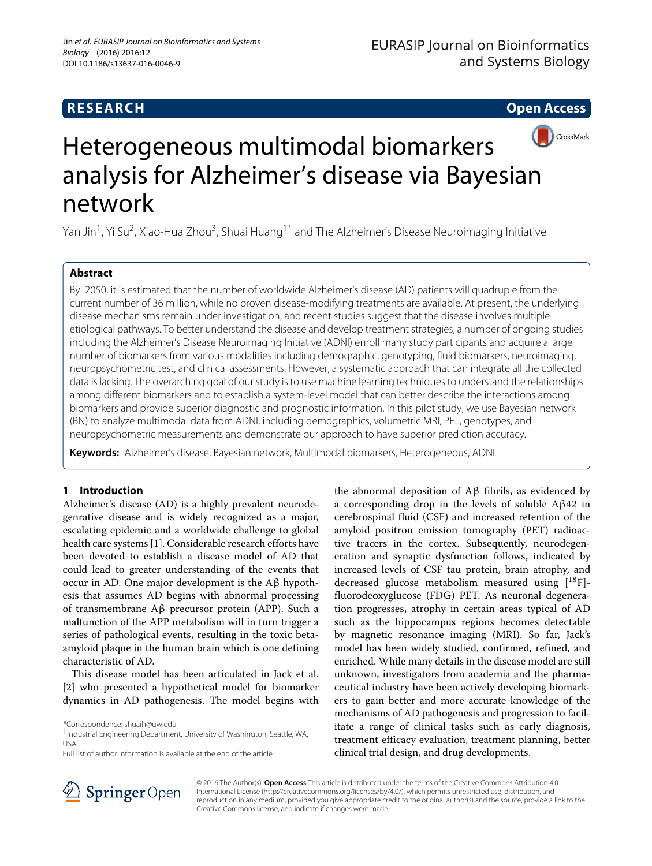

# Heterogeneous multimodal biomarkers analysis for Alzheimer's disease via Bayesian network

Yan Jin<sup>1</sup>, Yi Su<sup>2</sup>, Xiao-Hua Zhou<sup>3</sup>, Shuai Huang<sup>1\*</sup> and The Alzheimer's Disease Neuroimaging Initiative

# **Abstract**

By 2050, it is estimated that the number of worldwide Alzheimer's disease (AD) patients will quadruple from the current number of 36 million, while no proven disease-modifying treatments are available. At present, the underlying disease mechanisms remain under investigation, and recent studies suggest that the disease involves multiple etiological pathways. To better understand the disease and develop treatment strategies, a number of ongoing studies including the Alzheimer's Disease Neuroimaging Initiative (ADNI) enroll many study participants and acquire a large number of biomarkers from various modalities including demographic, genotyping, fluid biomarkers, neuroimaging, neuropsychometric test, and clinical assessments. However, a systematic approach that can integrate all the collected data is lacking. The overarching goal of our study is to use machine learning techniques to understand the relationships among different biomarkers and to establish a system-level model that can better describe the interactions among biomarkers and provide superior diagnostic and prognostic information. In this pilot study, we use Bayesian network (BN) to analyze multimodal data from ADNI, including demographics, volumetric MRI, PET, genotypes, and neuropsychometric measurements and demonstrate our approach to have superior prediction accuracy.

**Keywords:** Alzheimer's disease, Bayesian network, Multimodal biomarkers, Heterogeneous, ADNI

# **1 Introduction**

Alzheimer's disease (AD) is a highly prevalent neurodegenrative disease and is widely recognized as a major, escalating epidemic and a worldwide challenge to global health care systems [\[1\]](#page-6-0). Considerable research efforts have been devoted to establish a disease model of AD that could lead to greater understanding of the events that occur in AD. One major development is the Aβ hypothesis that assumes AD begins with abnormal processing of transmembrane Aβ precursor protein (APP). Such a malfunction of the APP metabolism will in turn trigger a series of pathological events, resulting in the toxic betaamyloid plaque in the human brain which is one defining characteristic of AD.

This disease model has been articulated in Jack et al. [\[2\]](#page-6-1) who presented a hypothetical model for biomarker dynamics in AD pathogenesis. The model begins with the abnormal deposition of Aβ fibrils, as evidenced by a corresponding drop in the levels of soluble Aβ42 in cerebrospinal fluid (CSF) and increased retention of the amyloid positron emission tomography (PET) radioactive tracers in the cortex. Subsequently, neurodegeneration and synaptic dysfunction follows, indicated by increased levels of CSF tau protein, brain atrophy, and decreased glucose metabolism measured using  $[18F]$ fluorodeoxyglucose (FDG) PET. As neuronal degeneration progresses, atrophy in certain areas typical of AD such as the hippocampus regions becomes detectable by magnetic resonance imaging (MRI). So far, Jack's model has been widely studied, confirmed, refined, and enriched. While many details in the disease model are still unknown, investigators from academia and the pharmaceutical industry have been actively developing biomarkers to gain better and more accurate knowledge of the mechanisms of AD pathogenesis and progression to facilitate a range of clinical tasks such as early diagnosis, treatment efficacy evaluation, treatment planning, better clinical trial design, and drug developments.



© 2016 The Author(s). **Open Access** This article is distributed under the terms of the Creative Commons Attribution 4.0 International License [\(http://creativecommons.org/licenses/by/4.0/\)](http://creativecommons.org/licenses/by/4.0/), which permits unrestricted use, distribution, and reproduction in any medium, provided you give appropriate credit to the original author(s) and the source, provide a link to the Creative Commons license, and indicate if changes were made.

<sup>\*</sup>Correspondence: [shuaih@uw.edu](mailto: shuaih@uw.edu)

<sup>&</sup>lt;sup>1</sup> Industrial Engineering Department, University of Washington, Seattle, WA, USA

Full list of author information is available at the end of the article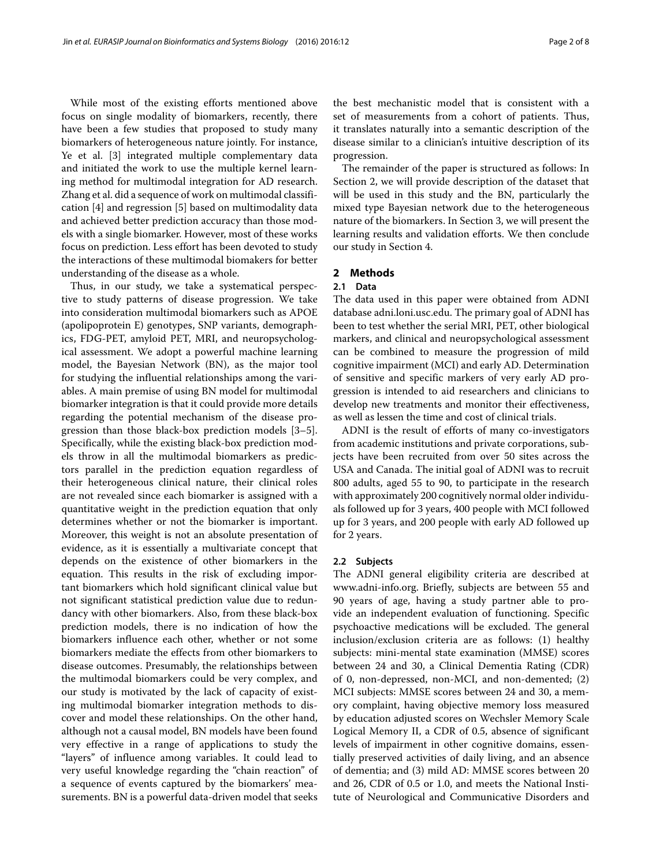While most of the existing efforts mentioned above focus on single modality of biomarkers, recently, there have been a few studies that proposed to study many biomarkers of heterogeneous nature jointly. For instance, Ye et al. [\[3\]](#page-6-2) integrated multiple complementary data and initiated the work to use the multiple kernel learning method for multimodal integration for AD research. Zhang et al. did a sequence of work on multimodal classification [\[4\]](#page-6-3) and regression [\[5\]](#page-6-4) based on multimodality data and achieved better prediction accuracy than those models with a single biomarker. However, most of these works focus on prediction. Less effort has been devoted to study the interactions of these multimodal biomakers for better understanding of the disease as a whole.

Thus, in our study, we take a systematical perspective to study patterns of disease progression. We take into consideration multimodal biomarkers such as APOE (apolipoprotein E) genotypes, SNP variants, demographics, FDG-PET, amyloid PET, MRI, and neuropsychological assessment. We adopt a powerful machine learning model, the Bayesian Network (BN), as the major tool for studying the influential relationships among the variables. A main premise of using BN model for multimodal biomarker integration is that it could provide more details regarding the potential mechanism of the disease progression than those black-box prediction models [\[3–](#page-6-2)[5\]](#page-6-4). Specifically, while the existing black-box prediction models throw in all the multimodal biomarkers as predictors parallel in the prediction equation regardless of their heterogeneous clinical nature, their clinical roles are not revealed since each biomarker is assigned with a quantitative weight in the prediction equation that only determines whether or not the biomarker is important. Moreover, this weight is not an absolute presentation of evidence, as it is essentially a multivariate concept that depends on the existence of other biomarkers in the equation. This results in the risk of excluding important biomarkers which hold significant clinical value but not significant statistical prediction value due to redundancy with other biomarkers. Also, from these black-box prediction models, there is no indication of how the biomarkers influence each other, whether or not some biomarkers mediate the effects from other biomarkers to disease outcomes. Presumably, the relationships between the multimodal biomarkers could be very complex, and our study is motivated by the lack of capacity of existing multimodal biomarker integration methods to discover and model these relationships. On the other hand, although not a causal model, BN models have been found very effective in a range of applications to study the "layers" of influence among variables. It could lead to very useful knowledge regarding the "chain reaction" of a sequence of events captured by the biomarkers' measurements. BN is a powerful data-driven model that seeks

the best mechanistic model that is consistent with a set of measurements from a cohort of patients. Thus, it translates naturally into a semantic description of the disease similar to a clinician's intuitive description of its progression.

The remainder of the paper is structured as follows: In Section [2,](#page-1-0) we will provide description of the dataset that will be used in this study and the BN, particularly the mixed type Bayesian network due to the heterogeneous nature of the biomarkers. In Section [3,](#page-3-0) we will present the learning results and validation efforts. We then conclude our study in Section [4.](#page-5-0)

# <span id="page-1-0"></span>**2 Methods**

# **2.1 Data**

The data used in this paper were obtained from ADNI database [adni.loni.usc.edu.](adni.loni.usc.edu) The primary goal of ADNI has been to test whether the serial MRI, PET, other biological markers, and clinical and neuropsychological assessment can be combined to measure the progression of mild cognitive impairment (MCI) and early AD. Determination of sensitive and specific markers of very early AD progression is intended to aid researchers and clinicians to develop new treatments and monitor their effectiveness, as well as lessen the time and cost of clinical trials.

ADNI is the result of efforts of many co-investigators from academic institutions and private corporations, subjects have been recruited from over 50 sites across the USA and Canada. The initial goal of ADNI was to recruit 800 adults, aged 55 to 90, to participate in the research with approximately 200 cognitively normal older individuals followed up for 3 years, 400 people with MCI followed up for 3 years, and 200 people with early AD followed up for 2 years.

#### **2.2 Subjects**

The ADNI general eligibility criteria are described at [www.adni-info.org.](http://www.adni-info.org) Briefly, subjects are between 55 and 90 years of age, having a study partner able to provide an independent evaluation of functioning. Specific psychoactive medications will be excluded. The general inclusion/exclusion criteria are as follows: (1) healthy subjects: mini-mental state examination (MMSE) scores between 24 and 30, a Clinical Dementia Rating (CDR) of 0, non-depressed, non-MCI, and non-demented; (2) MCI subjects: MMSE scores between 24 and 30, a memory complaint, having objective memory loss measured by education adjusted scores on Wechsler Memory Scale Logical Memory II, a CDR of 0.5, absence of significant levels of impairment in other cognitive domains, essentially preserved activities of daily living, and an absence of dementia; and (3) mild AD: MMSE scores between 20 and 26, CDR of 0.5 or 1.0, and meets the National Institute of Neurological and Communicative Disorders and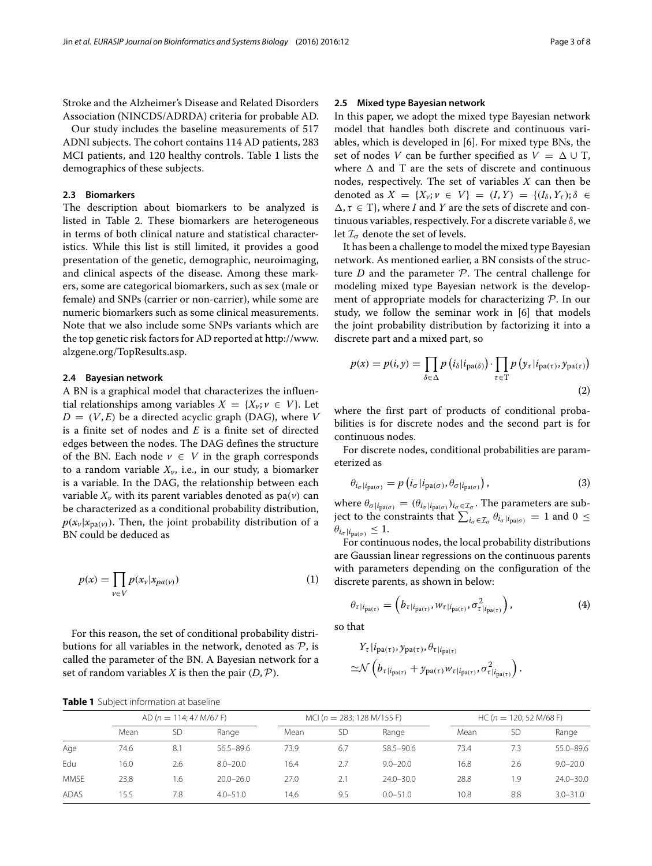Stroke and the Alzheimer's Disease and Related Disorders Association (NINCDS/ADRDA) criteria for probable AD.

Our study includes the baseline measurements of 517 ADNI subjects. The cohort contains 114 AD patients, 283 MCI patients, and 120 healthy controls. Table [1](#page-2-0) lists the demographics of these subjects.

#### **2.3 Biomarkers**

The description about biomarkers to be analyzed is listed in Table [2.](#page-3-1) These biomarkers are heterogeneous in terms of both clinical nature and statistical characteristics. While this list is still limited, it provides a good presentation of the genetic, demographic, neuroimaging, and clinical aspects of the disease. Among these markers, some are categorical biomarkers, such as sex (male or female) and SNPs (carrier or non-carrier), while some are numeric biomarkers such as some clinical measurements. Note that we also include some SNPs variants which are the top genetic risk factors for AD reported at [http://www.](http://www.alzgene.org/TopResults.asp) [alzgene.org/TopResults.asp.](http://www.alzgene.org/TopResults.asp)

# **2.4 Bayesian network**

A BN is a graphical model that characterizes the influential relationships among variables  $X = \{X_\nu : \nu \in V\}$ . Let  $D = (V, E)$  be a directed acyclic graph (DAG), where *V* is a finite set of nodes and *E* is a finite set of directed edges between the nodes. The DAG defines the structure of the BN. Each node  $v \in V$  in the graph corresponds to a random variable  $X_v$ , i.e., in our study, a biomarker is a variable. In the DAG, the relationship between each variable  $X_{\nu}$  with its parent variables denoted as  $pa(\nu)$  can be characterized as a conditional probability distribution,  $p(x_v|x_{\text{pa}(v)})$ . Then, the joint probability distribution of a BN could be deduced as

$$
p(x) = \prod_{v \in V} p(x_v | x_{pa(v)})
$$
\n(1)

For this reason, the set of conditional probability distributions for all variables in the network, denoted as  $P$ , is called the parameter of the BN. A Bayesian network for a set of random variables *X* is then the pair  $(D, P)$ .

#### **2.5 Mixed type Bayesian network**

In this paper, we adopt the mixed type Bayesian network model that handles both discrete and continuous variables, which is developed in [\[6\]](#page-6-5). For mixed type BNs, the set of nodes *V* can be further specified as  $V = \Delta \cup T$ , where  $\Delta$  and T are the sets of discrete and continuous nodes, respectively. The set of variables *X* can then be denoted as  $X = \{X_v : v \in V\} = (I, Y) = \{(I_\delta, Y_\tau) : \delta \in$  $\Delta$ ,  $\tau \in$  T}, where *I* and *Y* are the sets of discrete and continuous variables, respectively. For a discrete variable  $\delta$ , we let  $\mathcal{I}_{\sigma}$  denote the set of levels.

It has been a challenge to model the mixed type Bayesian network. As mentioned earlier, a BN consists of the structure  $D$  and the parameter  $\mathcal{P}$ . The central challenge for modeling mixed type Bayesian network is the development of appropriate models for characterizing  $P$ . In our study, we follow the seminar work in [\[6\]](#page-6-5) that models the joint probability distribution by factorizing it into a discrete part and a mixed part, so

<span id="page-2-1"></span>
$$
p(x) = p(i, y) = \prod_{\delta \in \Delta} p(i_{\delta} | i_{\text{pa}(\delta)}) \cdot \prod_{\tau \in \Upsilon} p(y_{\tau} | i_{\text{pa}(\tau)}, y_{\text{pa}(\tau)})
$$
\n(2)

where the first part of products of conditional probabilities is for discrete nodes and the second part is for continuous nodes.

For discrete nodes, conditional probabilities are parameterized as

$$
\theta_{i_{\sigma}|i_{\text{pa}(\sigma)}} = p\left(i_{\sigma}|i_{\text{pa}(\sigma)}, \theta_{\sigma}|i_{\text{pa}(\sigma)}\right),\tag{3}
$$

where  $\theta_{\sigma|i_{pa(\sigma)}} = (\theta_{i_{\sigma}|i_{pa(\sigma)}})_{i_{\sigma} \in \mathcal{I}_{\sigma}}$ . The parameters are subject to the constraints that  $\sum_{i_{\sigma} \in \mathcal{I}_{\sigma}} \theta_{i_{\sigma}} | i_{\text{pa}(\sigma)} = 1$  and  $0 \leq$  $\theta_{i_{\sigma}|i_{\text{pa}(\sigma)}} \leq 1.$ 

For continuous nodes, the local probability distributions are Gaussian linear regressions on the continuous parents with parameters depending on the configuration of the discrete parents, as shown in below:

$$
\theta_{\tau|i_{\text{pa}(\tau)}} = \left(b_{\tau|i_{\text{pa}(\tau)}}, w_{\tau|i_{\text{pa}(\tau)}}, \sigma^2_{\tau|i_{\text{pa}(\tau)}}\right),\tag{4}
$$

so that

$$
Y_{\tau} | i_{\text{pa}(\tau)}, y_{\text{pa}(\tau)}, \theta_{\tau} | i_{\text{pa}(\tau)}
$$
  

$$
\simeq \mathcal{N}\left(b_{\tau} | i_{\text{pa}(\tau)} + y_{\text{pa}(\tau)} w_{\tau} | i_{\text{pa}(\tau)}, \sigma_{\tau}^2 | i_{\text{pa}(\tau)}\right).
$$

**Table 1** Subject information at baseline

<span id="page-2-0"></span>

|             | AD ( $n = 114$ ; 47 M/67 F) |           |               | MCI ( $n = 283$ ; 128 M/155 F) |           |               | HC ( $n = 120$ ; 52 M/68 F) |           |               |
|-------------|-----------------------------|-----------|---------------|--------------------------------|-----------|---------------|-----------------------------|-----------|---------------|
|             | Mean                        | <b>SD</b> | Range         | Mean                           | <b>SD</b> | Range         | Mean                        | <b>SD</b> | Range         |
| Age         | 74.6                        | 8.1       | $56.5 - 89.6$ | 73.9                           | 6.7       | $58.5 - 90.6$ | 73.4                        | 7.3       | 55.0-89.6     |
| Edu         | 16.0                        | 2.6       | $8.0 - 20.0$  | 16.4                           | 2.7       | $9.0 - 20.0$  | 16.8                        | 2.6       | $9.0 - 20.0$  |
| <b>MMSE</b> | 23.8                        | 1.6       | $20.0 - 26.0$ | 27.0                           | 2.1       | $24.0 - 30.0$ | 28.8                        | 1.9       | $24.0 - 30.0$ |
| ADAS        | 15.5                        | 7.8       | $4.0 - 51.0$  | 14.6                           | 9.5       | $0.0 - 51.0$  | 10.8                        | 8.8       | $3.0 - 31.0$  |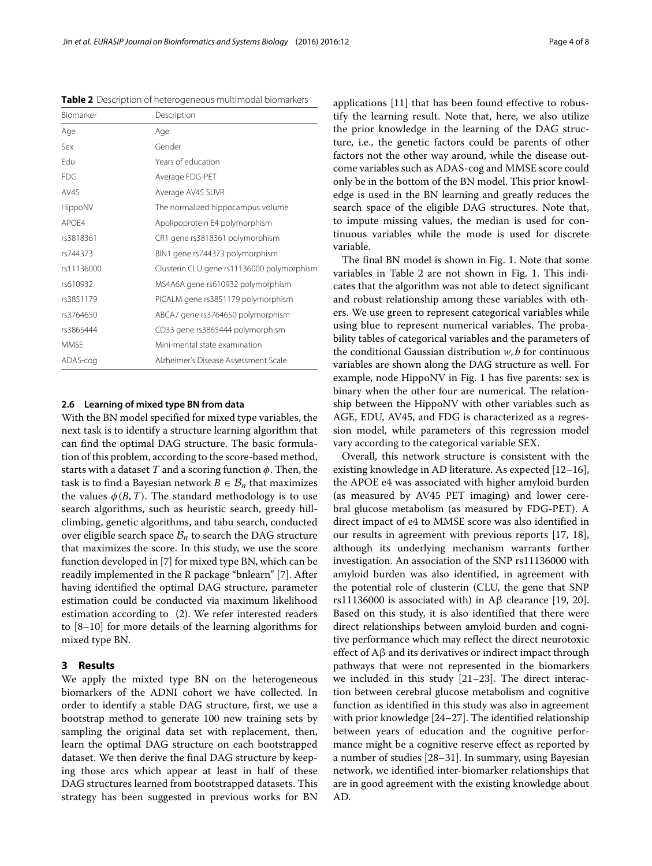**2.6 Learning of mixed type BN from data** With the BN model specified for mixed type variables, the next task is to identify a structure learning algorithm that can find the optimal DAG structure. The basic formulation of this problem, according to the score-based method, starts with a dataset *T* and a scoring function  $\phi$ . Then, the task is to find a Bayesian network  $B \in \mathcal{B}_n$  that maximizes the values  $\phi(B, T)$ . The standard methodology is to use search algorithms, such as heuristic search, greedy hillclimbing, genetic algorithms, and tabu search, conducted over eligible search space  $B_n$  to search the DAG structure that maximizes the score. In this study, we use the score function developed in [\[7\]](#page-6-6) for mixed type BN, which can be readily implemented in the R package "bnlearn" [\[7\]](#page-6-6). After having identified the optimal DAG structure, parameter estimation could be conducted via maximum likelihood estimation according to [\(2\)](#page-2-1). We refer interested readers to [\[8–](#page-6-7)[10\]](#page-6-8) for more details of the learning algorithms for mixed type BN.

#### <span id="page-3-0"></span>**3 Results**

We apply the mixted type BN on the heterogeneous biomarkers of the ADNI cohort we have collected. In order to identify a stable DAG structure, first, we use a bootstrap method to generate 100 new training sets by sampling the original data set with replacement, then, learn the optimal DAG structure on each bootstrapped dataset. We then derive the final DAG structure by keeping those arcs which appear at least in half of these DAG structures learned from bootstrapped datasets. This strategy has been suggested in previous works for BN

applications [\[11\]](#page-6-9) that has been found effective to robustify the learning result. Note that, here, we also utilize the prior knowledge in the learning of the DAG structure, i.e., the genetic factors could be parents of other factors not the other way around, while the disease outcome variables such as ADAS-cog and MMSE score could only be in the bottom of the BN model. This prior knowledge is used in the BN learning and greatly reduces the search space of the eligible DAG structures. Note that, to impute missing values, the median is used for continuous variables while the mode is used for discrete variable.

The final BN model is shown in Fig. [1.](#page-4-0) Note that some variables in Table [2](#page-3-1) are not shown in Fig. [1.](#page-4-0) This indicates that the algorithm was not able to detect significant and robust relationship among these variables with others. We use green to represent categorical variables while using blue to represent numerical variables. The probability tables of categorical variables and the parameters of the conditional Gaussian distribution *w*, *b* for continuous variables are shown along the DAG structure as well. For example, node HippoNV in Fig. [1](#page-4-0) has five parents: sex is binary when the other four are numerical. The relationship between the HippoNV with other variables such as AGE, EDU, AV45, and FDG is characterized as a regression model, while parameters of this regression model vary according to the categorical variable SEX.

Overall, this network structure is consistent with the existing knowledge in AD literature. As expected [\[12–](#page-6-10)[16\]](#page-6-11), the APOE e4 was associated with higher amyloid burden (as measured by AV45 PET imaging) and lower cerebral glucose metabolism (as measured by FDG-PET). A direct impact of e4 to MMSE score was also identified in our results in agreement with previous reports [\[17,](#page-6-12) [18\]](#page-7-0), although its underlying mechanism warrants further investigation. An association of the SNP rs11136000 with amyloid burden was also identified, in agreement with the potential role of clusterin (CLU, the gene that SNP rs11136000 is associated with) in  $\text{A}\beta$  clearance [\[19,](#page-7-1) [20\]](#page-7-2). Based on this study, it is also identified that there were direct relationships between amyloid burden and cognitive performance which may reflect the direct neurotoxic effect of Aβ and its derivatives or indirect impact through pathways that were not represented in the biomarkers we included in this study [\[21–](#page-7-3)[23\]](#page-7-4). The direct interaction between cerebral glucose metabolism and cognitive function as identified in this study was also in agreement with prior knowledge [\[24](#page-7-5)[–27\]](#page-7-6). The identified relationship between years of education and the cognitive performance might be a cognitive reserve effect as reported by a number of studies [\[28](#page-7-7)[–31\]](#page-7-8). In summary, using Bayesian network, we identified inter-biomarker relationships that are in good agreement with the existing knowledge about AD.

<span id="page-3-1"></span>**Table 2** Description of heterogeneous multimodal biomarkers

| Biomarker   | Description                                |
|-------------|--------------------------------------------|
| Age         | Age                                        |
| Sex         | Gender                                     |
| Edu         | Years of education                         |
| <b>FDG</b>  | Average FDG-PET                            |
| AV45        | Average AV45 SUVR                          |
| HippoNV     | The normalized hippocampus volume          |
| APOF4       | Apolipoprotein E4 polymorphism             |
| rs3818361   | CR1 gene rs3818361 polymorphism            |
| rs744373    | BIN1 gene rs744373 polymorphism            |
| rs11136000  | Clusterin CLU gene rs11136000 polymorphism |
| rs610932    | MS4A6A gene rs610932 polymorphism          |
| rs3851179   | PICALM gene rs3851179 polymorphism         |
| rs3764650   | ABCA7 gene rs3764650 polymorphism          |
| rs3865444   | CD33 gene rs3865444 polymorphism           |
| <b>MMSF</b> | Mini-mental state examination              |
| ADAS-cog    | Alzheimer's Disease Assessment Scale       |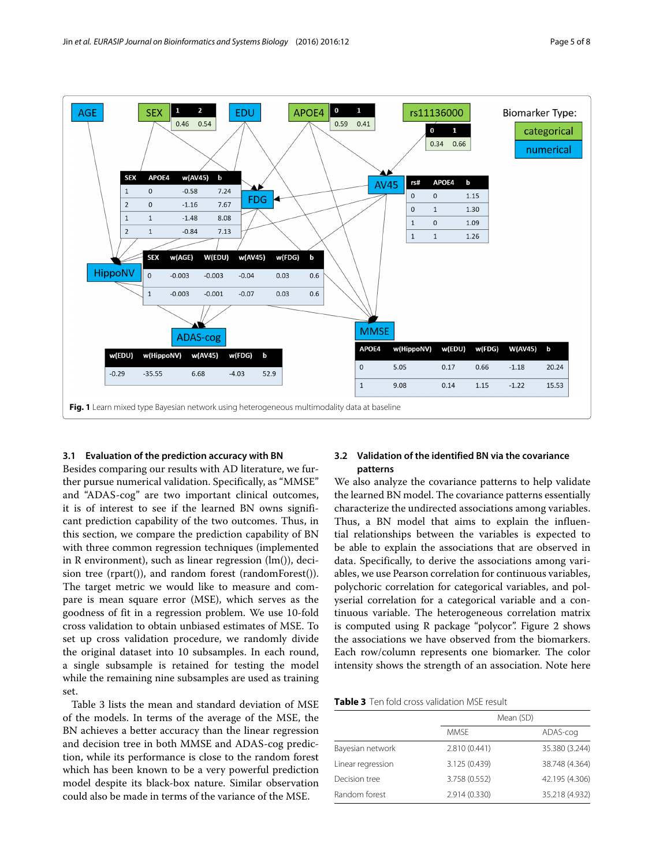

### <span id="page-4-0"></span>**3.1 Evaluation of the prediction accuracy with BN**

Besides comparing our results with AD literature, we further pursue numerical validation. Specifically, as "MMSE" and "ADAS-cog" are two important clinical outcomes, it is of interest to see if the learned BN owns significant prediction capability of the two outcomes. Thus, in this section, we compare the prediction capability of BN with three common regression techniques (implemented in R environment), such as linear regression (lm()), decision tree (rpart()), and random forest (randomForest()). The target metric we would like to measure and compare is mean square error (MSE), which serves as the goodness of fit in a regression problem. We use 10-fold cross validation to obtain unbiased estimates of MSE. To set up cross validation procedure, we randomly divide the original dataset into 10 subsamples. In each round, a single subsample is retained for testing the model while the remaining nine subsamples are used as training set.

Table [3](#page-4-1) lists the mean and standard deviation of MSE of the models. In terms of the average of the MSE, the BN achieves a better accuracy than the linear regression and decision tree in both MMSE and ADAS-cog prediction, while its performance is close to the random forest which has been known to be a very powerful prediction model despite its black-box nature. Similar observation could also be made in terms of the variance of the MSE.

# **3.2 Validation of the identified BN via the covariance patterns**

We also analyze the covariance patterns to help validate the learned BN model. The covariance patterns essentially characterize the undirected associations among variables. Thus, a BN model that aims to explain the influential relationships between the variables is expected to be able to explain the associations that are observed in data. Specifically, to derive the associations among variables, we use Pearson correlation for continuous variables, polychoric correlation for categorical variables, and polyserial correlation for a categorical variable and a continuous variable. The heterogeneous correlation matrix is computed using R package "polycor". Figure [2](#page-5-1) shows the associations we have observed from the biomarkers. Each row/column represents one biomarker. The color intensity shows the strength of an association. Note here

| <b>Table 3</b> Ten fold cross validation MSE result |  |
|-----------------------------------------------------|--|
|-----------------------------------------------------|--|

<span id="page-4-1"></span>

|                   | Mean (SD)     |                |
|-------------------|---------------|----------------|
|                   | <b>MMSF</b>   | ADAS-cog       |
| Bayesian network  | 2.810 (0.441) | 35.380 (3.244) |
| Linear regression | 3.125 (0.439) | 38.748 (4.364) |
| Decision tree     | 3.758 (0.552) | 42.195 (4.306) |
| Random forest     | 2.914 (0.330) | 35.218 (4.932) |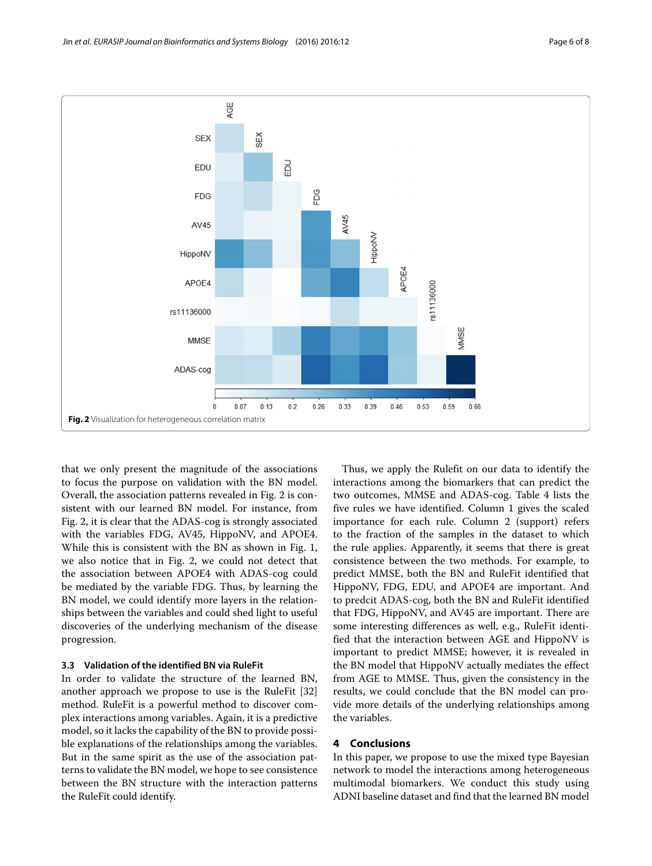

<span id="page-5-1"></span>that we only present the magnitude of the associations to focus the purpose on validation with the BN model. Overall, the association patterns revealed in Fig. [2](#page-5-1) is consistent with our learned BN model. For instance, from Fig. [2,](#page-5-1) it is clear that the ADAS-cog is strongly associated with the variables FDG, AV45, HippoNV, and APOE4. While this is consistent with the BN as shown in Fig. [1,](#page-4-0) we also notice that in Fig. [2,](#page-5-1) we could not detect that the association between APOE4 with ADAS-cog could be mediated by the variable FDG. Thus, by learning the BN model, we could identify more layers in the relationships between the variables and could shed light to useful discoveries of the underlying mechanism of the disease progression.

### **3.3 Validation of the identified BN via RuleFit**

In order to validate the structure of the learned BN, another approach we propose to use is the RuleFit [\[32\]](#page-7-9) method. RuleFit is a powerful method to discover complex interactions among variables. Again, it is a predictive model, so it lacks the capability of the BN to provide possible explanations of the relationships among the variables. But in the same spirit as the use of the association patterns to validate the BN model, we hope to see consistence between the BN structure with the interaction patterns the RuleFit could identify.

Thus, we apply the Rulefit on our data to identify the interactions among the biomarkers that can predict the two outcomes, MMSE and ADAS-cog. Table [4](#page-6-13) lists the five rules we have identified. Column 1 gives the scaled importance for each rule. Column 2 (support) refers to the fraction of the samples in the dataset to which the rule applies. Apparently, it seems that there is great consistence between the two methods. For example, to predict MMSE, both the BN and RuleFit identified that HippoNV, FDG, EDU, and APOE4 are important. And to predcit ADAS-cog, both the BN and RuleFit identified that FDG, HippoNV, and AV45 are important. There are some interesting differences as well, e.g., RuleFit identified that the interaction between AGE and HippoNV is important to predict MMSE; however, it is revealed in the BN model that HippoNV actually mediates the effect from AGE to MMSE. Thus, given the consistency in the results, we could conclude that the BN model can provide more details of the underlying relationships among the variables.

# <span id="page-5-0"></span>**4 Conclusions**

In this paper, we propose to use the mixed type Bayesian network to model the interactions among heterogeneous multimodal biomarkers. We conduct this study using ADNI baseline dataset and find that the learned BN model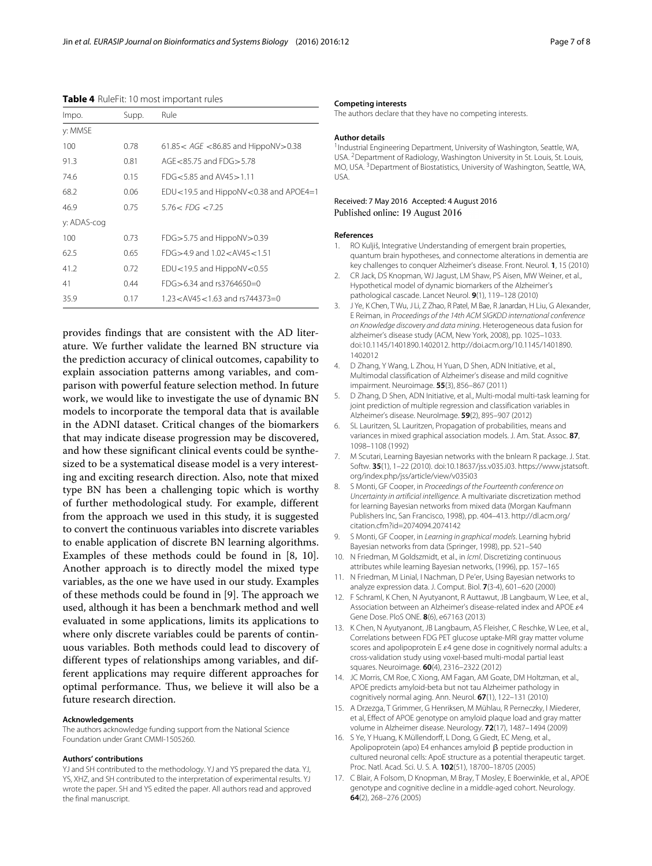| Impo.       | Supp. | Rule                                         |
|-------------|-------|----------------------------------------------|
| y: MMSE     |       |                                              |
| 100         | 0.78  | 61.85 $<$ AGE $<$ 86.85 and HippoNV $>$ 0.38 |
| 91.3        | 0.81  | AGF $< 85.75$ and $FDG > 5.78$               |
| 74.6        | 0.15  | $FDG < 5.85$ and $AV45 > 1.11$               |
| 68.2        | 0.06  | $EDU<19.5$ and HippoNV $< 0.38$ and APOE4=1  |
| 46.9        | 0.75  | 5.76 < FDG < 7.25                            |
| y: ADAS-cog |       |                                              |
| 100         | 0.73  | $FDG > 5.75$ and HippoNV $> 0.39$            |
| 62.5        | 0.65  | $FDG > 49$ and $102 < A\sqrt{45} < 151$      |
| 412         | 0.72  | $EDU<19.5$ and HippoNV $<$ 0.55              |
| 41          | 0.44  | $FDG > 6.34$ and rs3764650=0                 |
| 35.9        | 0.17  | $1.23 < AVA5 < 1.63$ and rs744373=0          |

<span id="page-6-13"></span>**Table 4** RuleFit: 10 most important rules

provides findings that are consistent with the AD literature. We further validate the learned BN structure via the prediction accuracy of clinical outcomes, capability to explain association patterns among variables, and comparison with powerful feature selection method. In future work, we would like to investigate the use of dynamic BN models to incorporate the temporal data that is available in the ADNI dataset. Critical changes of the biomarkers that may indicate disease progression may be discovered, and how these significant clinical events could be synthesized to be a systematical disease model is a very interesting and exciting research direction. Also, note that mixed type BN has been a challenging topic which is worthy of further methodological study. For example, different from the approach we used in this study, it is suggested to convert the continuous variables into discrete variables to enable application of discrete BN learning algorithms. Examples of these methods could be found in [\[8,](#page-6-7) [10\]](#page-6-8). Another approach is to directly model the mixed type variables, as the one we have used in our study. Examples of these methods could be found in [\[9\]](#page-6-14). The approach we used, although it has been a benchmark method and well evaluated in some applications, limits its applications to where only discrete variables could be parents of continuous variables. Both methods could lead to discovery of different types of relationships among variables, and different applications may require different approaches for optimal performance. Thus, we believe it will also be a

#### **Acknowledgements**

future research direction.

The authors acknowledge funding support from the National Science Foundation under Grant CMMI-1505260.

#### **Authors' contributions**

YJ and SH contributed to the methodology. YJ and YS prepared the data. YJ, YS, XHZ, and SH contributed to the interpretation of experimental results. YJ wrote the paper. SH and YS edited the paper. All authors read and approved the final manuscript.

#### **Competing interests**

The authors declare that they have no competing interests.

#### **Author details**

<sup>1</sup> Industrial Engineering Department, University of Washington, Seattle, WA, USA. 2Department of Radiology, Washington University in St. Louis, St. Louis, MO, USA. 3Department of Biostatistics, University of Washington, Seattle, WA, USA.

#### Received: 7 May 2016 Accepted: 4 August 2016 Published online: 19 August 2016

#### **References**

- <span id="page-6-0"></span>1. RO Kuljiš, Integrative Understanding of emergent brain properties, quantum brain hypotheses, and connectome alterations in dementia are key challenges to conquer Alzheimer's disease. Front. Neurol. **1**, 15 (2010)
- <span id="page-6-1"></span>2. CR Jack, DS Knopman, WJ Jagust, LM Shaw, PS Aisen, MW Weiner, et al., Hypothetical model of dynamic biomarkers of the Alzheimer's pathological cascade. Lancet Neurol. **9**(1), 119–128 (2010)
- <span id="page-6-2"></span>3. J Ye, K Chen, T Wu, J Li, Z Zhao, R Patel, M Bae, R Janardan, H Liu, G Alexander, E Reiman, in Proceedings of the 14th ACM SIGKDD international conference on Knowledge discovery and data mining. Heterogeneous data fusion for alzheimer's disease study (ACM, New York, 2008), pp. 1025–1033. doi[:10.1145/1401890.1402012.](http://dx.doi.org/10.1145/1401890.1402012) [http://doi.acm.org/10.1145/1401890.](http://doi.acm.org/10.1145/1401890.1402012) [1402012](http://doi.acm.org/10.1145/1401890.1402012)
- <span id="page-6-3"></span>4. D Zhang, Y Wang, L Zhou, H Yuan, D Shen, ADN Initiative, et al., Multimodal classification of Alzheimer's disease and mild cognitive impairment. Neuroimage. **55**(3), 856–867 (2011)
- <span id="page-6-4"></span>5. D Zhang, D Shen, ADN Initiative, et al., Multi-modal multi-task learning for joint prediction of multiple regression and classification variables in Alzheimer's disease. NeuroImage. **59**(2), 895–907 (2012)
- <span id="page-6-5"></span>6. SL Lauritzen, SL Lauritzen, Propagation of probabilities, means and variances in mixed graphical association models. J. Am. Stat. Assoc. **87**, 1098–1108 (1992)
- <span id="page-6-6"></span>7. M Scutari, Learning Bayesian networks with the bnlearn R package. J. Stat. Softw. **35**(1), 1–22 (2010). doi[:10.18637/jss.v035.i03.](http://dx.doi.org/10.18637/jss.v035.i03) [https://www.jstatsoft.](https://www.jstatsoft.org/index.php/jss/article/view/v035i03) [org/index.php/jss/article/view/v035i03](https://www.jstatsoft.org/index.php/jss/article/view/v035i03)
- <span id="page-6-7"></span>8. S Monti, GF Cooper, in Proceedings of the Fourteenth conference on Uncertainty in artificial intelligence. A multivariate discretization method for learning Bayesian networks from mixed data (Morgan Kaufmann Publishers Inc, San Francisco, 1998), pp. 404–413. [http://dl.acm.org/](http://dl.acm.org/citation.cfm?id=2074094.2074142) [citation.cfm?id=2074094.2074142](http://dl.acm.org/citation.cfm?id=2074094.2074142)
- <span id="page-6-14"></span>9. S Monti, GF Cooper, in Learning in graphical models. Learning hybrid Bayesian networks from data (Springer, 1998), pp. 521–540
- <span id="page-6-8"></span>10. N Friedman, M Goldszmidt, et al., in Icml. Discretizing continuous attributes while learning Bayesian networks, (1996), pp. 157–165
- <span id="page-6-9"></span>11. N Friedman, M Linial, I Nachman, D Pe'er, Using Bayesian networks to analyze expression data. J. Comput. Biol. **7**(3-4), 601–620 (2000)
- <span id="page-6-10"></span>12. F Schraml, K Chen, N Ayutyanont, R Auttawut, JB Langbaum, W Lee, et al., Association between an Alzheimer's disease-related index and APOE ε4 Gene Dose. PloS ONE. **8**(6), e67163 (2013)
- 13. K Chen, N Ayutyanont, JB Langbaum, AS Fleisher, C Reschke, W Lee, et al., Correlations between FDG PET glucose uptake-MRI gray matter volume scores and apolipoprotein E  $\varepsilon$ 4 gene dose in cognitively normal adults: a cross-validation study using voxel-based multi-modal partial least squares. Neuroimage. **60**(4), 2316–2322 (2012)
- 14. JC Morris, CM Roe, C Xiong, AM Fagan, AM Goate, DM Holtzman, et al., APOE predicts amyloid-beta but not tau Alzheimer pathology in cognitively normal aging. Ann. Neurol. **67**(1), 122–131 (2010)
- 15. A Drzezga, T Grimmer, G Henriksen, M Mühlau, R Perneczky, I Miederer, et al, Effect of APOE genotype on amyloid plaque load and gray matter volume in Alzheimer disease. Neurology. **72**(17), 1487–1494 (2009)
- <span id="page-6-11"></span>16. S Ye, Y Huang, K Müllendorff, L Dong, G Giedt, EC Meng, et al., Apolipoprotein (apo) E4 enhances amyloid β peptide production in cultured neuronal cells: ApoE structure as a potential therapeutic target. Proc. Natl. Acad. Sci. U. S. A. **102**(51), 18700–18705 (2005)
- <span id="page-6-12"></span>17. C Blair, A Folsom, D Knopman, M Bray, T Mosley, E Boerwinkle, et al., APOE genotype and cognitive decline in a middle-aged cohort. Neurology. **64**(2), 268–276 (2005)